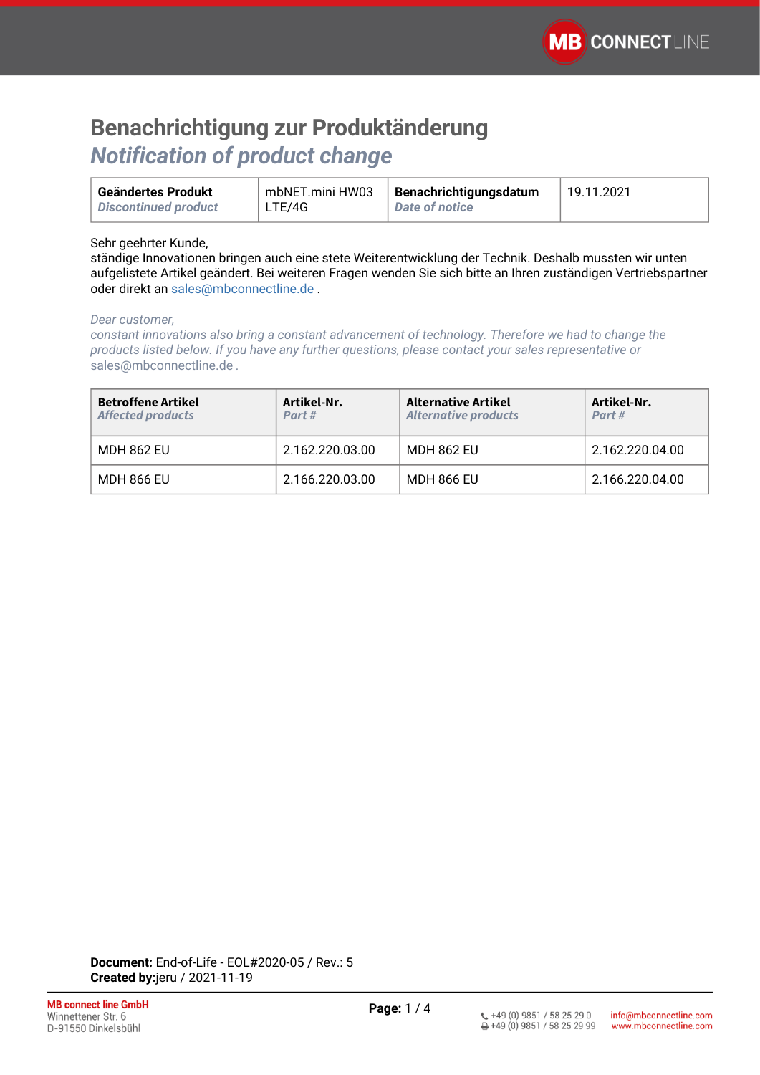## **Benachrichtigung zur Produktänderung**  *Notification of product change*

| Geändertes Produkt   | mbNET.mini HW03 | Benachrichtigungsdatum | 19.11.2021 |
|----------------------|-----------------|------------------------|------------|
| Discontinued product | LTE/4G          | Date of notice         |            |
|                      |                 |                        |            |

#### Sehr geehrter Kunde,

ständige Innovationen bringen auch eine stete Weiterentwicklung der Technik. Deshalb mussten wir unten aufgelistete Artikel geändert. Bei weiteren Fragen wenden Sie sich bitte an Ihren zuständigen Vertriebspartner oder direkt an [sales@mbconnectline.de](mailto:sales@mbconnectline.de) .

#### *Dear customer,*

*constant innovations also bring a constant advancement of technology. Therefore we had to change the products listed below. If you have any further questions, please contact your sales representative or*  [sales@mbconnectline.de](mailto:sales@mbconnectline.de) *.*

| <b>Betroffene Artikel</b><br><b>Affected products</b> | Artikel-Nr.<br>Part# | <b>Alternative Artikel</b><br><b>Alternative products</b> | Artikel-Nr.<br>Part# |
|-------------------------------------------------------|----------------------|-----------------------------------------------------------|----------------------|
| <b>MDH 862 EU</b>                                     | 2.162.220.03.00      | MDH 862 EU                                                | 2.162.220.04.00      |
| <b>MDH 866 EU</b>                                     | 2.166.220.03.00      | <b>MDH 866 EU</b>                                         | 2.166.220.04.00      |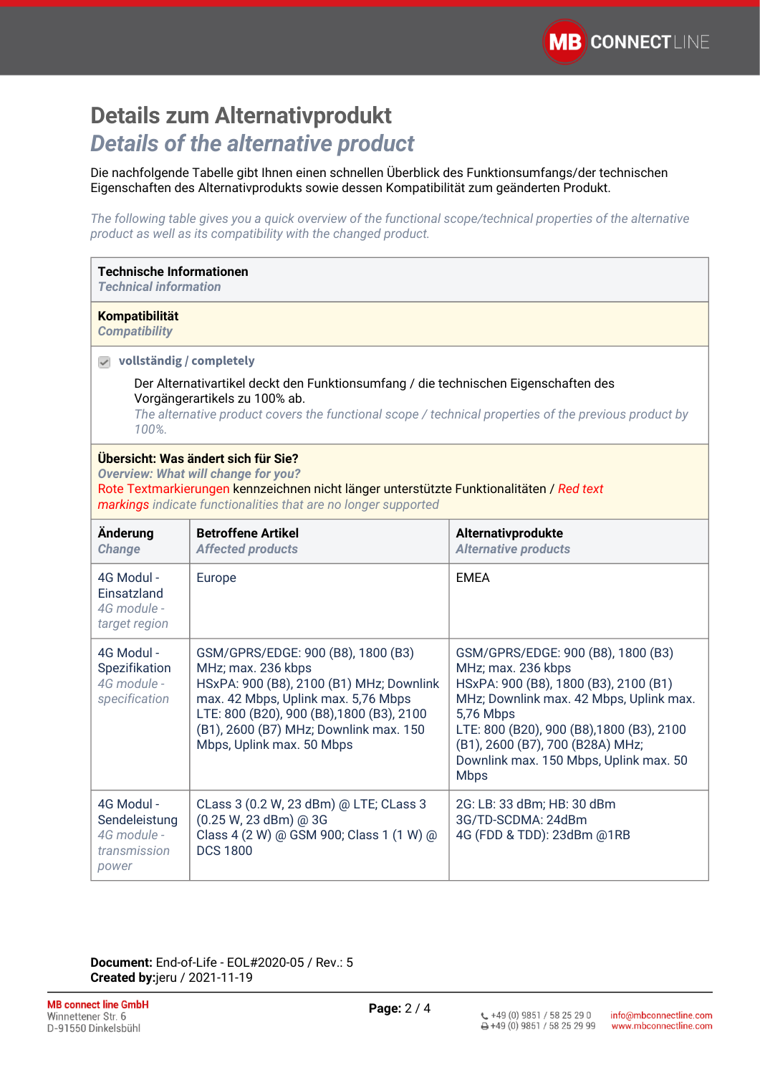## **Details zum Alternativprodukt** *Details of the alternative product*

Die nachfolgende Tabelle gibt Ihnen einen schnellen Überblick des Funktionsumfangs/der technischen Eigenschaften des Alternativprodukts sowie dessen Kompatibilität zum geänderten Produkt.

*The following table gives you a quick overview of the functional scope/technical properties of the alternative product as well as its compatibility with the changed product.*

| <b>Technische Informationen</b><br><b>Technical information</b>                                                                                                                                                                                 |                                                                                                                                                                                                                                                                 |                                                                                                                                                                                                                                                                                                     |  |  |  |  |
|-------------------------------------------------------------------------------------------------------------------------------------------------------------------------------------------------------------------------------------------------|-----------------------------------------------------------------------------------------------------------------------------------------------------------------------------------------------------------------------------------------------------------------|-----------------------------------------------------------------------------------------------------------------------------------------------------------------------------------------------------------------------------------------------------------------------------------------------------|--|--|--|--|
| Kompatibilität<br><b>Compatibility</b>                                                                                                                                                                                                          |                                                                                                                                                                                                                                                                 |                                                                                                                                                                                                                                                                                                     |  |  |  |  |
|                                                                                                                                                                                                                                                 | $\vee$ vollständig / completely                                                                                                                                                                                                                                 |                                                                                                                                                                                                                                                                                                     |  |  |  |  |
| Der Alternativartikel deckt den Funktionsumfang / die technischen Eigenschaften des<br>Vorgängerartikels zu 100% ab.<br>The alternative product covers the functional scope / technical properties of the previous product by<br>100%.          |                                                                                                                                                                                                                                                                 |                                                                                                                                                                                                                                                                                                     |  |  |  |  |
| Übersicht: Was ändert sich für Sie?<br><b>Overview: What will change for you?</b><br>Rote Textmarkierungen kennzeichnen nicht länger unterstützte Funktionalitäten / Red text<br>markings indicate functionalities that are no longer supported |                                                                                                                                                                                                                                                                 |                                                                                                                                                                                                                                                                                                     |  |  |  |  |
| Änderung<br><b>Change</b>                                                                                                                                                                                                                       | <b>Betroffene Artikel</b><br><b>Affected products</b>                                                                                                                                                                                                           | Alternativprodukte<br><b>Alternative products</b>                                                                                                                                                                                                                                                   |  |  |  |  |
| 4G Modul -<br>Einsatzland<br>4G module -<br>target region                                                                                                                                                                                       | Europe                                                                                                                                                                                                                                                          | <b>EMEA</b>                                                                                                                                                                                                                                                                                         |  |  |  |  |
| 4G Modul -<br>Spezifikation<br>4G module -<br>specification                                                                                                                                                                                     | GSM/GPRS/EDGE: 900 (B8), 1800 (B3)<br>MHz; max. 236 kbps<br>HSxPA: 900 (B8), 2100 (B1) MHz; Downlink<br>max. 42 Mbps, Uplink max. 5,76 Mbps<br>LTE: 800 (B20), 900 (B8), 1800 (B3), 2100<br>(B1), 2600 (B7) MHz; Downlink max. 150<br>Mbps, Uplink max. 50 Mbps | GSM/GPRS/EDGE: 900 (B8), 1800 (B3)<br>MHz; max. 236 kbps<br>HSxPA: 900 (B8), 1800 (B3), 2100 (B1)<br>MHz; Downlink max. 42 Mbps, Uplink max.<br>5,76 Mbps<br>LTE: 800 (B20), 900 (B8), 1800 (B3), 2100<br>(B1), 2600 (B7), 700 (B28A) MHz;<br>Downlink max. 150 Mbps, Uplink max. 50<br><b>Mbps</b> |  |  |  |  |
| 4G Modul -<br>Sendeleistung<br>4G module -<br>transmission<br>power                                                                                                                                                                             | CLass 3 (0.2 W, 23 dBm) @ LTE; CLass 3<br>(0.25 W, 23 dBm) @ 3G<br>Class 4 (2 W) @ GSM 900; Class 1 (1 W) @<br><b>DCS 1800</b>                                                                                                                                  | 2G: LB: 33 dBm; HB: 30 dBm<br>3G/TD-SCDMA: 24dBm<br>4G (FDD & TDD): 23dBm @1RB                                                                                                                                                                                                                      |  |  |  |  |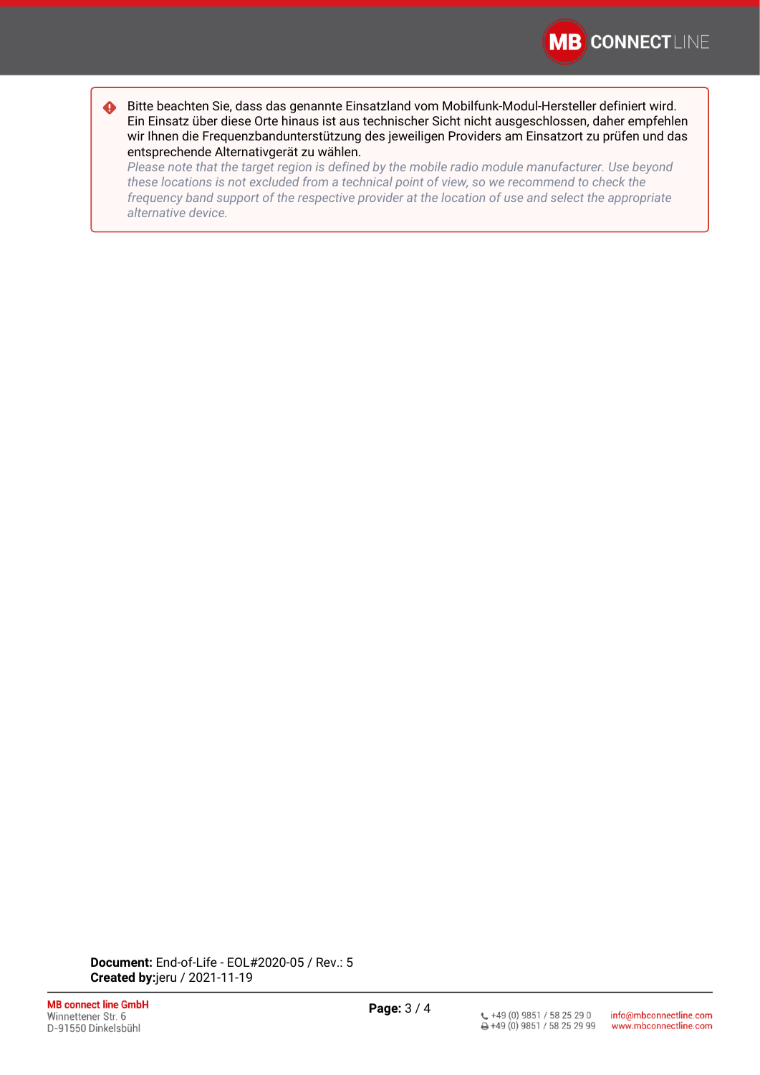Bitte beachten Sie, dass das genannte Einsatzland vom Mobilfunk-Modul-Hersteller definiert wird. Ein Einsatz über diese Orte hinaus ist aus technischer Sicht nicht ausgeschlossen, daher empfehlen wir Ihnen die Frequenzbandunterstützung des jeweiligen Providers am Einsatzort zu prüfen und das entsprechende Alternativgerät zu wählen.  $\triangle$ 

*Please note that the target region is defined by the mobile radio module manufacturer. Use beyond these locations is not excluded from a technical point of view, so we recommend to check the frequency band support of the respective provider at the location of use and select the appropriate alternative device.*